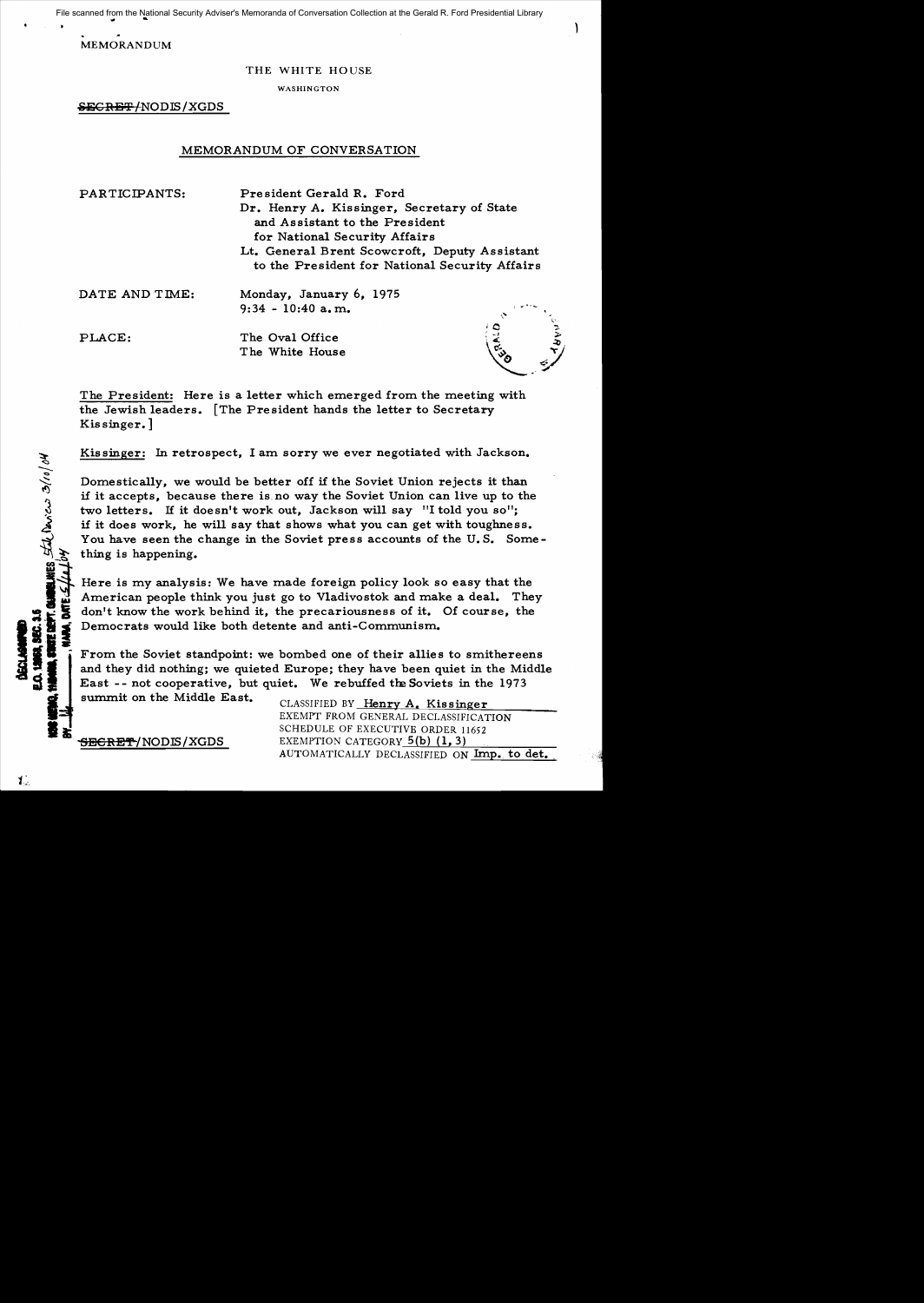File scanned from the National Security Adviser's Memoranda of Conversation Collection at the Gerald R. Ford Presidential Library

MEMORANDUM

# THE WHITE HOUSE

WASHINGTON

SECRET/NODIS/XGDS

# MEMORANDUM OF CONVERSATION

PARTICIPANTS: President Gerald R. Ford Dr. Henry A. Kissinger, Secretary of State and Assistant to the President for National Security Affairs Lt. General Brent Scowcroft, Deputy Assistant to the President for National Security Affairs DATE AND TIME: Monday, January 6, 1975<br>9:34 - 10:40 a.m.

PLACE: The Oval Office The White House

The President: Here is a letter which emerged from the meeting with the Jewish leaders. [The President hands the letter to Secretary Kis singer. ]

Kis singer: In retrospect, I am sorry we ever negotiated with Jackson.

Domestically, we would be better off if the Soviet Union rejects it than if it accepts, because there is no way the Soviet Union can live up to the two letters. If it doesn't work out, Jackson will say "I told you so"; if it does work, he will say that shows what you can get with toughness. You have seen the change in the Soviet press accounts of the U.S. Something is happening.

III Here is my analysis: We have made foreign policy look so easy that the  $\frac{1}{2}$ . Here is my analysis: We have made foreign policy look so easy that the  $\frac{1}{2}$ . The American people think you just go to Vladivostok a American people think you just go to Vladivostok and make a deal. They **11 1** Democrats would like both detente and anti-Communism. **<sup>0</sup>**

From the Soviet standpoint: we bombed one of their allies to smithereens and they did nothing; we quieted Europe; they have been quiet in the Middle East -- not cooperative, but quiet. We rebuffed the Soviets in the 1973

summit on the Middle East.

CLASSIFIED BY Henry A. Kissinger EXEMPT FROM GENERAL DECLASSIFICATION SCHEDULE OF EXECUTIVE ORDER 11652<br>**SECRET/NODIS/XGDS** BXEMPTION CATEGORY 5(b) (1, 3) AUTOMATICALLY DECLASSIFIED ON Imp. to det.

**PARK** 

101/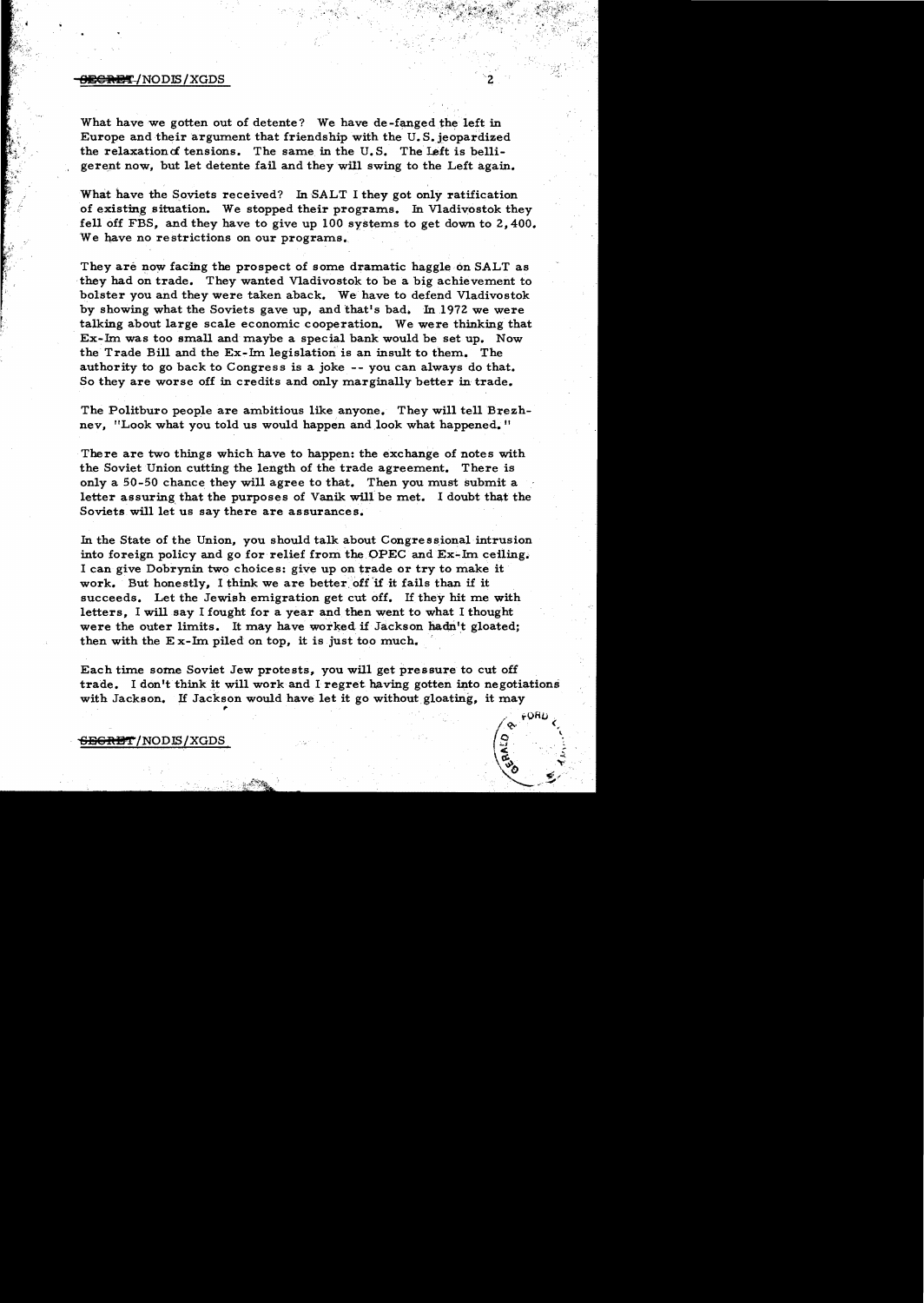#### 8<del>CREY</del>/NODIS/XGDS

What have we gotten out of detente? We have de-fanged the left in Europe and their argument that friendship with the U.S. jeopardized the relaxation of tensions. The same in the U.S. The Left is belligerent now, but let detente fail and they will swing to the Left again.

What have the Soviets received? In SALT I they got only ratification of existing situation. We stopped their programs. In Vladivostok they fell off FBS, and they have to give up 100 systems to get down to 2,400. We have no restrictions on our programs.

They are now facing the prospect of some dramatic haggle on SALT as they had on trade. They wanted Vladivostok to be a big achievement to bolster you and they were taken aback. We have to defend Vladivostok by showing what the Soviets gave up, and that's bad. In 1972 we were talking about large scale economic cooperation. We were thinking that Ex-lm was too small and maybe a special bank would be set up. Now the Trade Bill and the Ex-lm legislation is an insult to them. The authority to go back to Congress is a joke -- you can always do that. So they are worse off in credits and only marginally better in trade.

The Politburo people are ambitious like anyone. They will tell Brezhnev, "Look what you told us would happen and look what happened."

There are two things which have to happen: the exchange of notes with the Soviet Union cutting the length of the trade agreement. There is only a 50-50 chance they will agree to that. Then you must submit a letter assuring that the purposes of Vanik will be met. I doubt that the Soviets will let us say there are assurances.

In the State of the Union, you should talk about Congressional intrusion into foreign policy and go for relief from the OPEC and  $Ex-Im$  ceiling. I can give Dobrynin two choices: give up on trade or try to make it work. But honestly. I think we are better off if it fails than if it succeeds. Let the Jewish emigration get cut off. If they hit me with letters. I will say I fought for a year and then went to what I thought were the outer limits. It may have worked if Jackson hadn't gloated; then with the E x-lm piled on top, it is just too much. '

Each time some Soviet Jew protests, you will get pressure to cut off trade. I don't think it will work and I regret having gotten into negotiations with Jackson. If Jackson would have let it go without gloating, it may

 ${\tt s}_{\tt BGRBT/NODIS/XGDS}$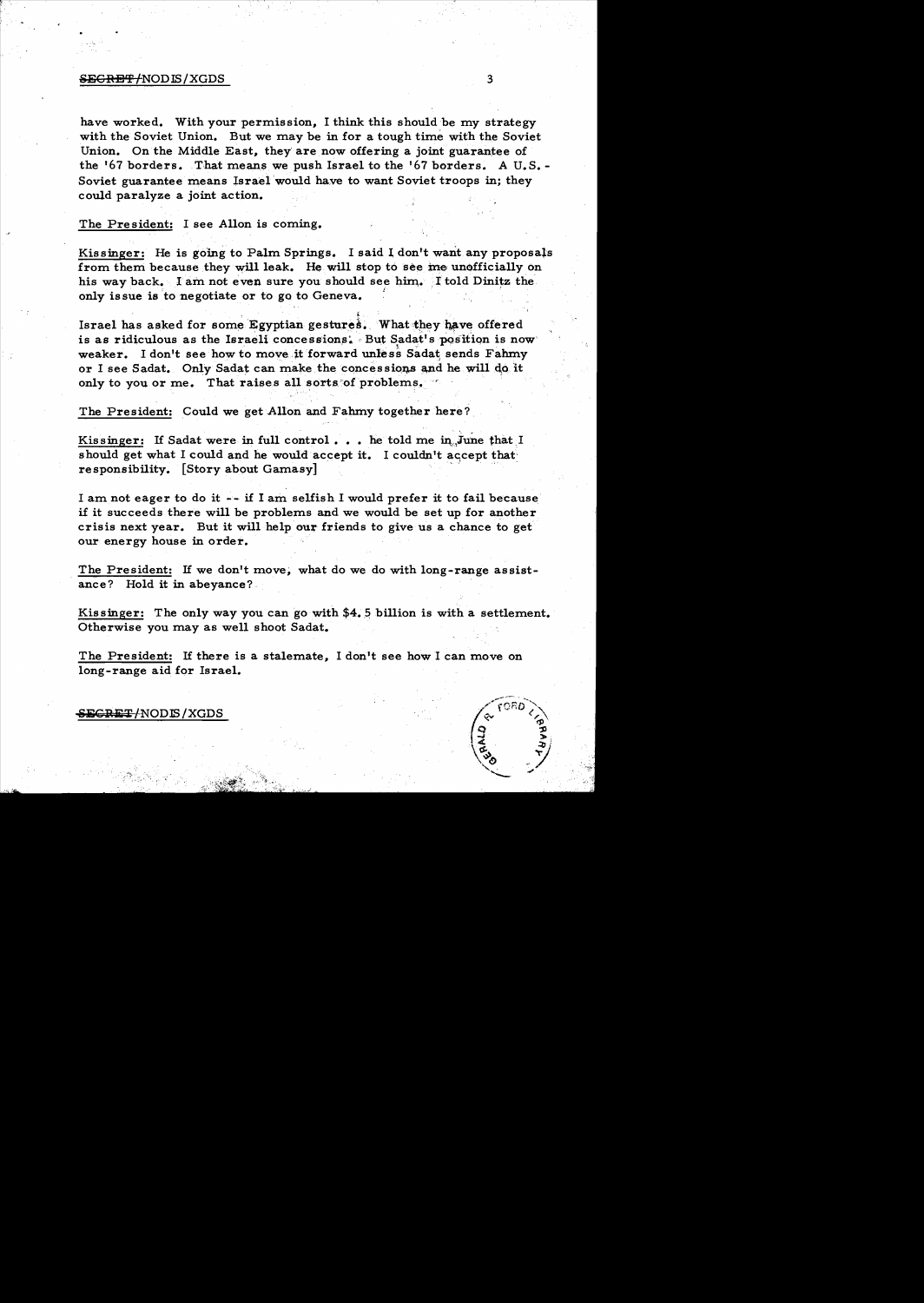## $S$ EGRET/NOD IS / XGDS  $3$

have worked. With your permission, I think this should be my strategy with the Soviet Union. But we may be in for a tough time with the Soviet Union. On the Middle East, they are now offering a joint guarantee of the '67 borders. That means we push Israel to the '67 borders. A U.S. Soviet guarantee means Israel would have to want Soviet troops in; they could paralyze a joint action.

The President: I see Allon is coming.

Kissinger: He is going to Palm Springs. I said I don't want any proposals from them because they will leak. He will stop to see me unofficially on his way back. I am not even sure you should see him. I told Dinitz the only issue is to negotiate or to go to Geneva.

Israel has asked for some Egyptian gestures. What they have offered is as ridiculous as the Israeli concessions. But Sadat's position is now weaker. I don't see how to move it forward unless Sadat sends Fahmy or I see Sadat. Only Sadat can make the concessions and he will do it only to you or me. That raises all sorts of problems,

The President: Could we get Allon and Fahmy together here?

Kissinger: If Sadat were in full control... he told me in June that  $I$ should get what I could and he would accept it. I couldn't accept that responsibility. [Story about Gamasy]

I am not eager to do it -- if I am selfish I would prefer it to fail because if it succeeds there will be problems and we would be set up for another crisis next year. But it will help our friends to give us a chance to get our energy house in order.

The President: If we don't move, what do we do with long-range assistance? Hold it in abeyance?

Kissinger: The only way you can go with \$4•.5 billion is with a settlement. Otherwise you may as well shoot Sadat.

The President: If there is a stalemate, I don't see how I can move on long-range aid for Israel.



### $S$ E $G$ RE $T$ /NODIS / XGDS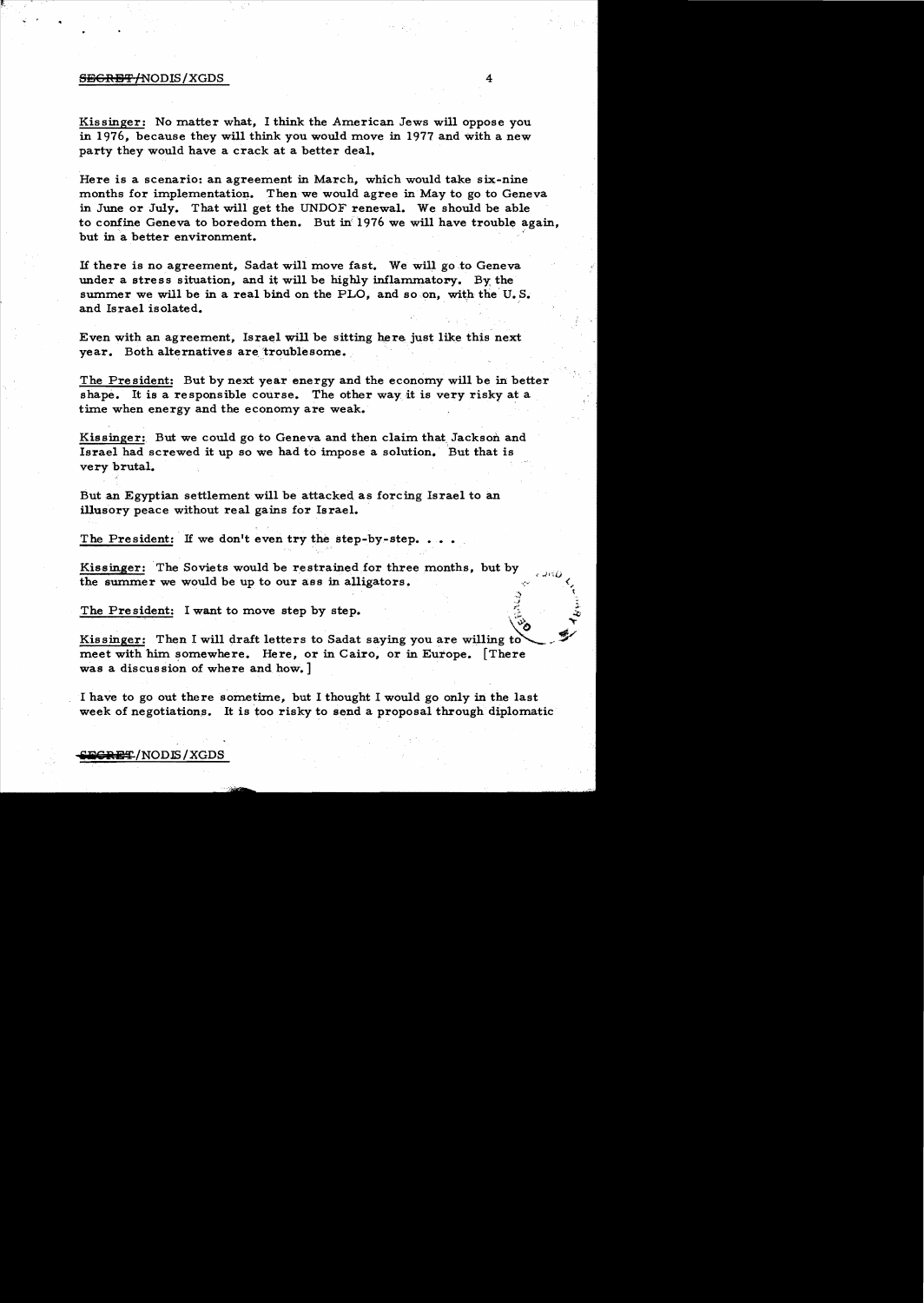#### secret through the secret of  $4\,$

Kissinger: No matter what, I think the American Jews will oppose you in 1976, because they will think you would move in 1977 and with a new party they would have a crack at a better deal.

Here is a scenario: an agreement in March, which would take six-nine months for implementation. Then we would agree in May to go to Geneva in June or July. That will get the UNDOF renewal. We should be able to confine Geneva to boredom then. But in 1976 we will have trouble again, but in a better environment.

If there is no agreement, Sadat will move fast. We will go to Geneva under a stress situation, and it will be highly inflammatory. By the summer we will be in a real bind on the PLO, and so on, with the U.S. and Israel isolated. '

Even with an agreement, Israel will be sitting here just like this next year. Both alternatives are troublesome.

The President: But by next year energy and the economy will be in better shape. It is a responsible course. The other way it is very risky at a time when energy and the economy are weak.

Kissinger: But we could go to Geneva and then claim that, Jackson and Israel had screwed it up so we had to impose a solution. But that is very brutal.

But an Egyptian settlement will be attacked as forcing Israel to an illusory peace without real gains for Israel.

The President: If we don't even try the step-by-step..

Kissinger: The Soviets would be restrained for three months, but by the summer we would be up to our ass in alligators.

The President: I want to move step by step.

Kissinger: Then I will draft letters to Sadat saying you are willing to meet with him somewhere. Here, or in Cairo, or in Europe. [There was a discussion of where and how.  $]$ 

I have to go out there sometime, but I thought I would go only in the last week of negotiations. It is too risky to send a proposal through diplomatic

 $\sim$ *.,.1*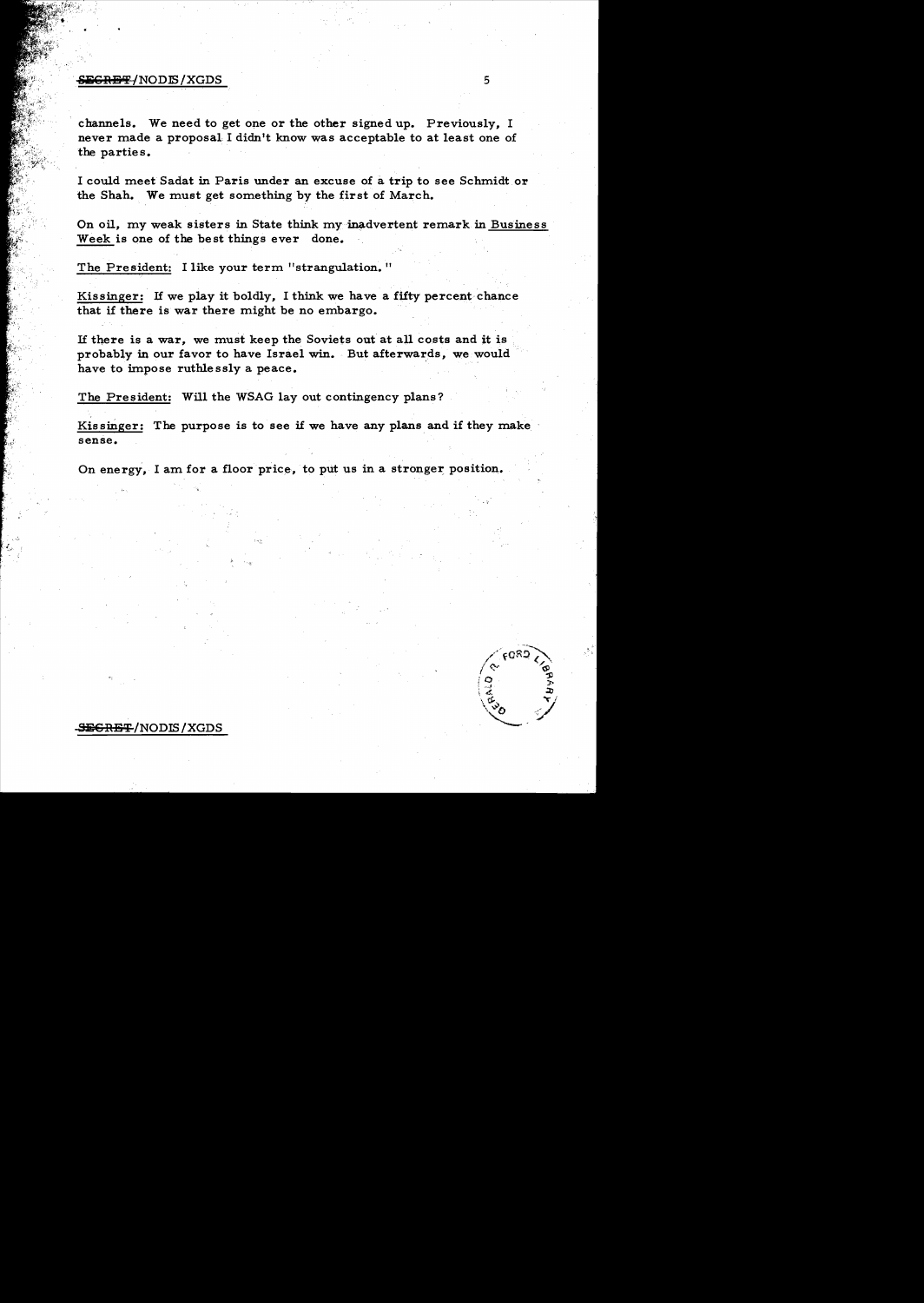## $\overline{\text{SEGRBF}}/\text{NODIS}/\text{XGDS}$  5

channels. We need to get one or the other signed up. Previously, I never made a proposal I didn't know was acceptable to at least one of the parties.

I could meet Sadat in Paris under an excuse of a trip to see Schmidt or the Shah. We must get something by the first of March.

On oil, my weak sisters in State think my inadvertent remark in Business Week is one of the best things ever done.

The President: I like your term "strangulation. "

Kissinger: If we play it boldly, I think we have a fifty percent chance that if there is war there might be no embargo.

If there is a war, we must keep the Soviets ont at all costs and it is probably in our favor to have Israel win. But afterwards, we would have to impose ruthle ssly a peace.

The President: Will the WSAG lay out contingency plans?

Kissinger: The purpose is to see if we have any plans and if they make sense.

On energy, I am for a floor price, to put us in a stronger position.



# <del>ECRET</del>/NODIS/XGDS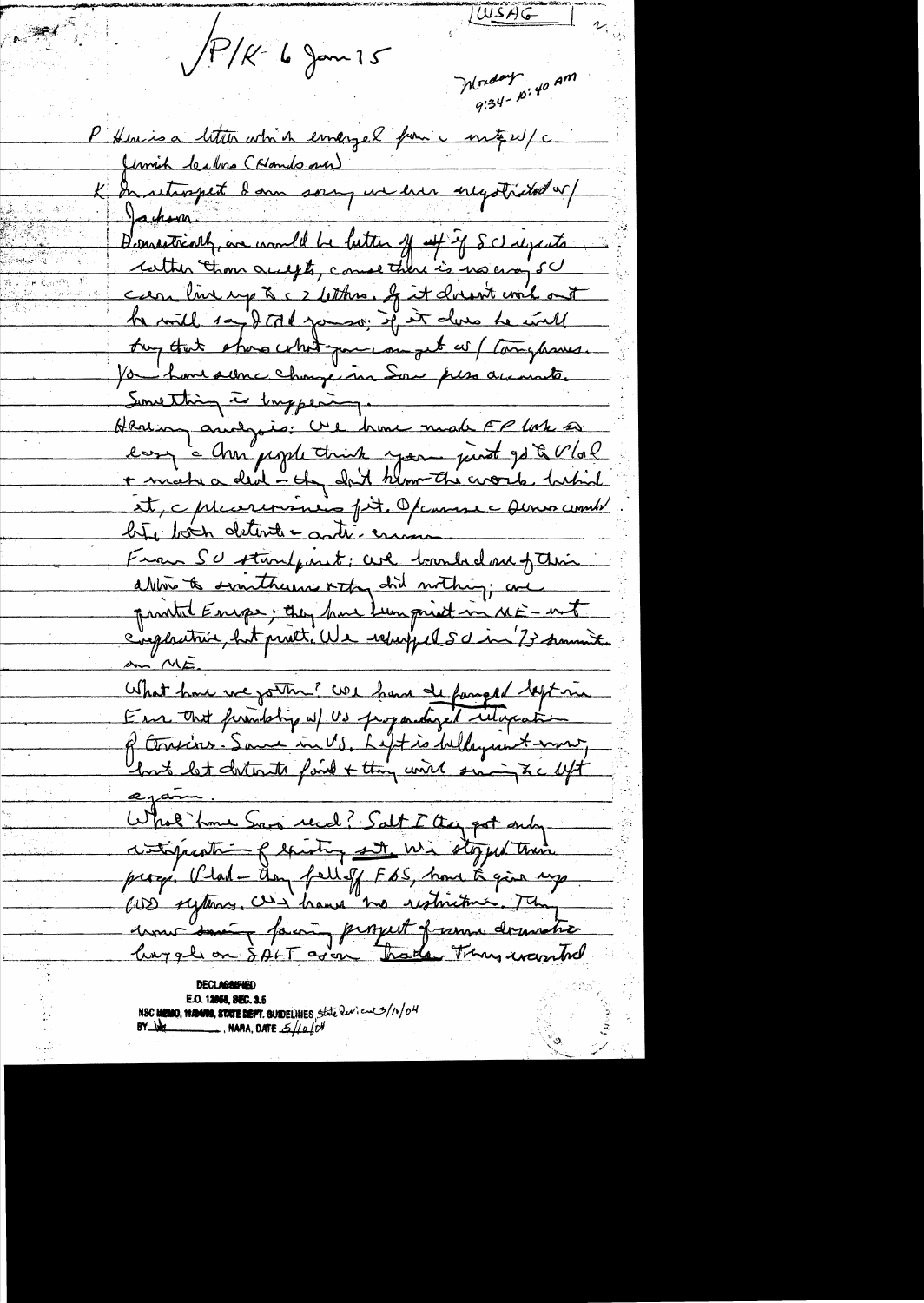$\sqrt{P/K}$  6 Jan 15

LUISAG

Moday<br>9:34-p:40 AM

P Heuisa litter which emergel from motif est c In returnent dann sorry un en inegotisted or Jackson Demostrialy, are would be lutter of up if Schapents care live up to c 2 letters, of it doesn't work out he will say & told you so. If it does he will they think shows what you can get as ( Companies. Ja home some change ma Son pers accounter Sunsetting is imperimpen-Hering analysis: Use home make FP lock a easy a cher people think you just go & Vlal et, c plucereminino fit. Opennese anno comb bite bois detende anti-ensure Fran SU stanfant; are tranhed are form ablow to santherns it to did withing ; and printet Energe; they have Lumprint in ME - ent <u>an ME.</u> What have we gotten? We have deformed deft in of tousins. Same in US, Left is belayment work, lorit let distincts fond + thing with sing to left egame What home Sans recal? Salt I they got only within a lawry and we stopped than proces. Vlad - then fell of FBS, have to give up CUS syttems. Withous no restriction The derne tout faire persuit of same dematic

NSC **HEMO, MANNE, STATE BEPT.** GUIDELINES, State Review 3/11/04<br>BY WELL RAMA, DATE  $6/10^{10}$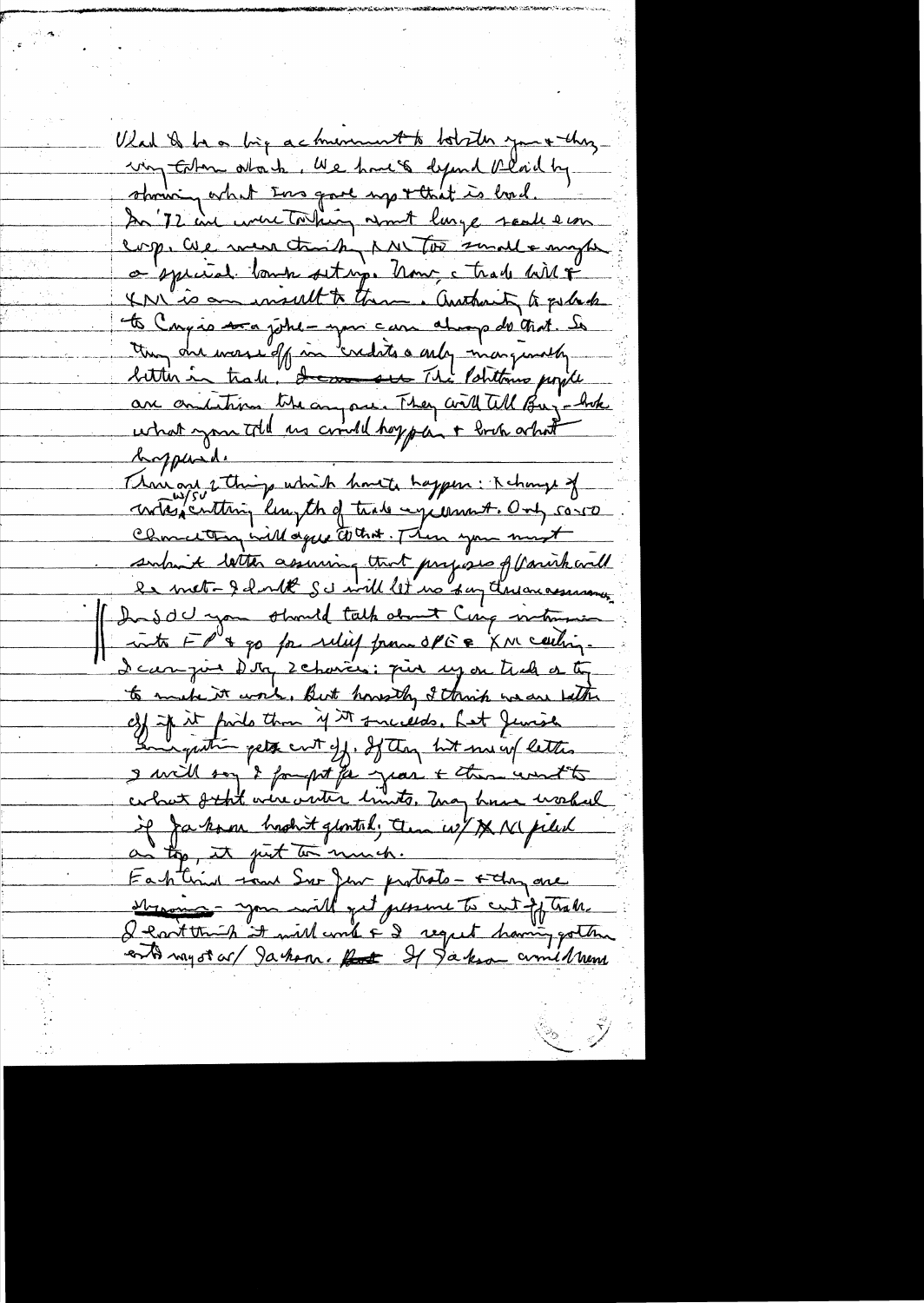What is has big acknownert to botater you + theyun Enton about Me have defend alaid by showing what Ens gave up + that is had. In 72 in were to king asmet large seal ear corp. Cue men trait sur tou somal a myse a special bank setting. how, that hill & XN'is an insult to theme. authority to pulled to Cangão soa johe-your can always de trat. So ton du mossieff in credits a only mangionally are omitation the any one. They will tell Buy-hok braphade Thair and 2 things which havete happen: Kchonge of contagenting lumpth of trade systems A. Only 50-50 Charactery will agree to that. Then you must subout letter assuring that projects of (anichard le met-gdorbt Sc will let no say deren assurance Ins del you should talk about Cinq intermin into FP'a go for relief francoPEE XM centing. I can juin d'in schavers: più sy on trak or ti to make it work, But howsthey I think we are bath c3) if it finds than if it succeeds. Let Jemise and quite gets cut off. If they let me up letters I will son 't fought for jean + then wont to if Jakon hrohit glontal; ten w/ X N piled Fastind rand Sur Jen protects - stay are strains - you will get persone to cut of trale I cant think it will und F 2 regret having gotten entimezorar/Jahon. Ret I Jakson amilham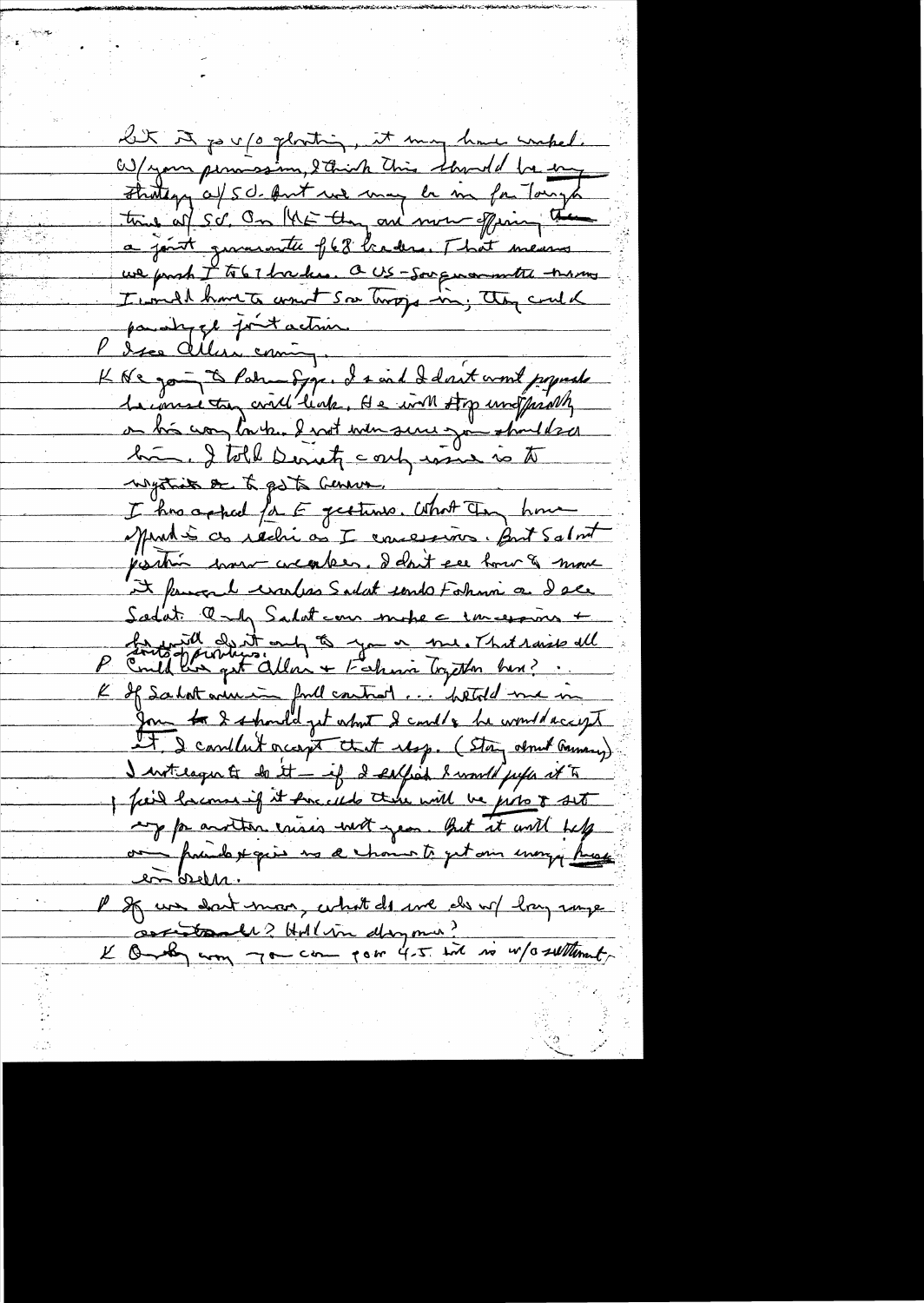at A po v /o glosting, it may have unpel. W/your permassion, Sthick This through he eng Friday of 50. Ant we may be in for Tonys a joint grammette f68 braders. That means we parch I to 67 houders. a US-Sougenormate trans I would have to want son trops in, they cant a paradyze fortaction. P des celliers coming.<br>K de gou à Patrim Spr. de vid del vit word popuede la consista, civil liab, He with stop unit privily on bis complaise. I not we serve jou stalled him. I told Derretz confrance is to negotiats or to go to Geneva. I has a shall for E getting, What Tay home Munté ce réchi a I concessions. But Salont jointin mour createur. Deant se hour & more it knows he washes Sadat sends Folum a dale Sadat and Salation mote c increasing + Sinte of the subject of the me. That raise all  $\frac{p}{q}$ K If salatarin for l'entret... "betold me in It I coullet occupe that usp. (Stay about Gamery) I wrtilager to do it - if I seelfied I would just at to I find hacomen if it forced there will be joint to set my for another crisis with year. But it will felt on principal painters and a channel pet ann every prese en breen. P If we don't moon, what do me do w/ hay some L'One com 7 cm com pour 4-5 in 10 millenne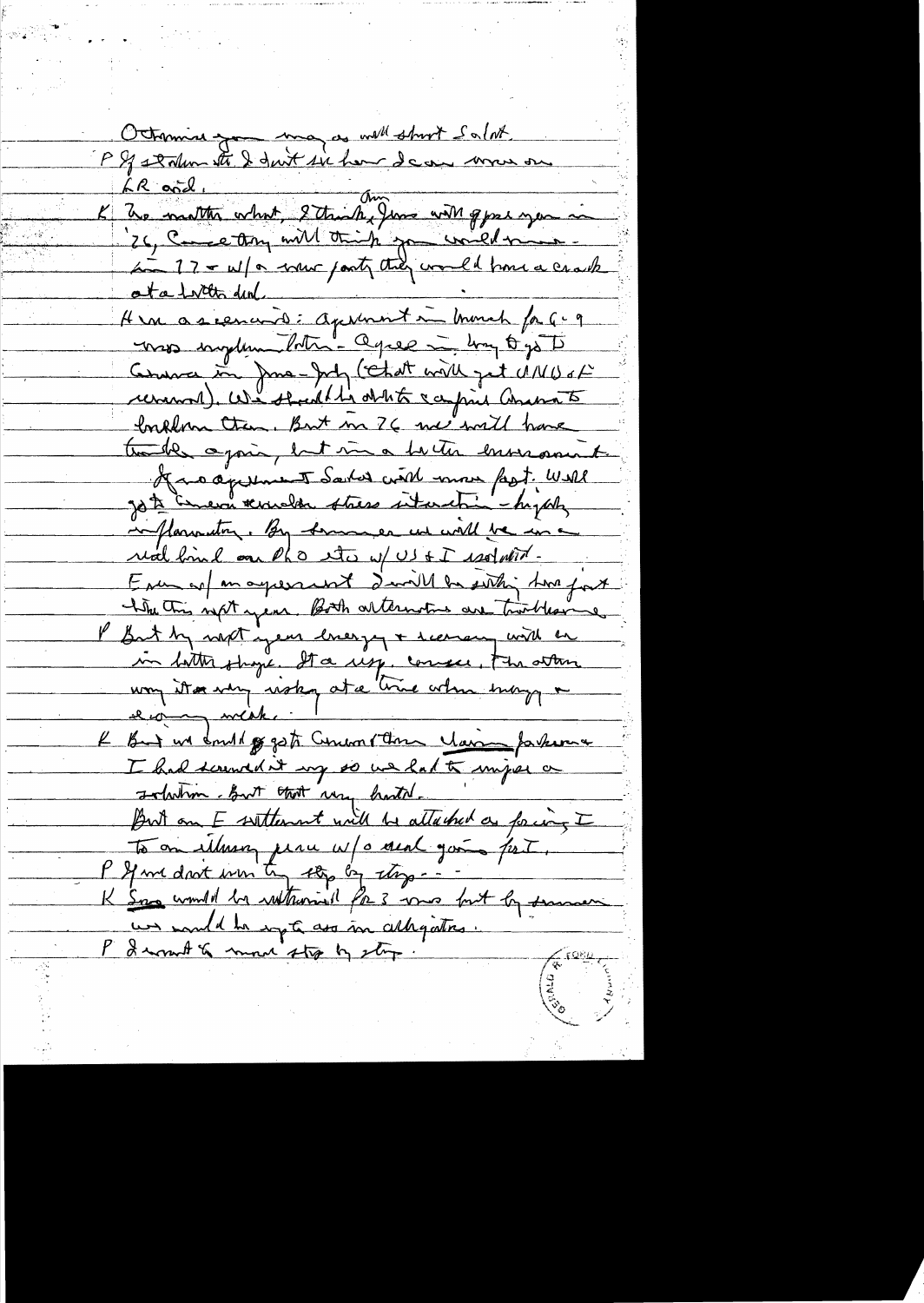Octomine pour ma as well stroot Salat LR and 1.<br>K The mother what, 2 think, June with good you in 26, Come Any will think you would mine Hen as earneed: aprennent in monch for G- 9 viso implementation agree in hay to go to Comme in June-July (Chat with got MNUs of Inklown Ction, But m 26 me will have the de again, but me a hertier enversament of a a apresent Sarked with more fast. Well Jote Energe terrible stress interstin - hypoty inflamenting. By sommer we will be in a real bind on the etc w/US & I realment Enu sol an agreement davill be seithing two four the this next year. Both alternative are trackleave I But by next year livery + receiven with an in hotte shape. It a rise, consece, the atten way it a very risky at a trice when may a e comment K But us don't go got Commentant Man farkers I had screwed it my so we had to imper a Indution But that way hastal. But on E settlement will be attached as forcing I To an illusing place w/o deal going fort P If we don't win try the by thep --K Some counter by withours of the 3 was but by seans un mould be repte ass in allegations. P I won't a more stop by stop.